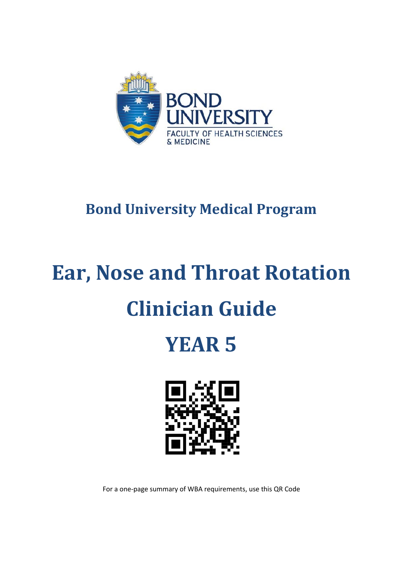

### **Bond University Medical Program**

# **Ear, Nose and Throat Rotation Clinician Guide**

## **YEAR 5**



For a one-page summary of WBA requirements, use this QR Code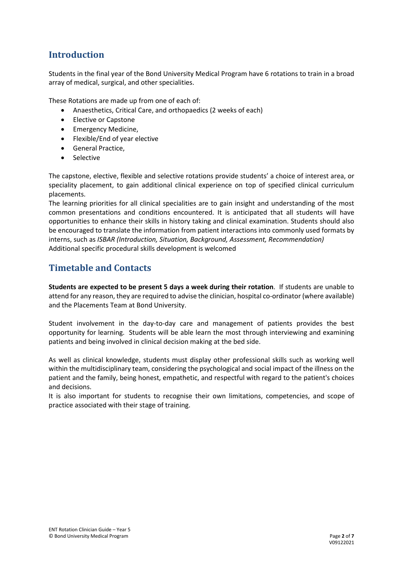#### **Introduction**

Students in the final year of the Bond University Medical Program have 6 rotations to train in a broad array of medical, surgical, and other specialities.

These Rotations are made up from one of each of:

- Anaesthetics, Critical Care, and orthopaedics (2 weeks of each)
- Elective or Capstone
- Emergency Medicine,
- Flexible/End of year elective
- General Practice,
- **Selective**

The capstone, elective, flexible and selective rotations provide students' a choice of interest area, or speciality placement, to gain additional clinical experience on top of specified clinical curriculum placements.

The learning priorities for all clinical specialities are to gain insight and understanding of the most common presentations and conditions encountered. It is anticipated that all students will have opportunities to enhance their skills in history taking and clinical examination. Students should also be encouraged to translate the information from patient interactions into commonly used formats by interns, such as *ISBAR (Introduction, Situation, Background, Assessment, Recommendation)* Additional specific procedural skills development is welcomed

#### **Timetable and Contacts**

**Students are expected to be present 5 days a week during their rotation**. If students are unable to attend for any reason, they are required to advise the clinician, hospital co-ordinator (where available) and the Placements Team at Bond University.

Student involvement in the day-to-day care and management of patients provides the best opportunity for learning. Students will be able learn the most through interviewing and examining patients and being involved in clinical decision making at the bed side.

As well as clinical knowledge, students must display other professional skills such as working well within the multidisciplinary team, considering the psychological and social impact of the illness on the patient and the family, being honest, empathetic, and respectful with regard to the patient's choices and decisions.

It is also important for students to recognise their own limitations, competencies, and scope of practice associated with their stage of training.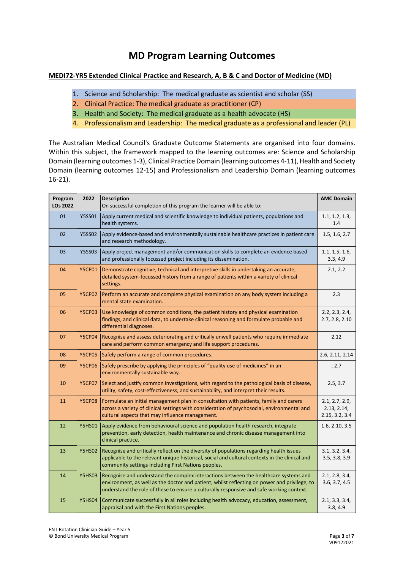#### **MD Program Learning Outcomes**

#### **MEDI72-YR5 Extended Clinical Practice and Research, A, B & C and Doctor of Medicine (MD)**

- 1. Science and Scholarship: The medical graduate as scientist and scholar (SS)
- 2. Clinical Practice: The medical graduate as practitioner (CP)
- 3. Health and Society: The medical graduate as a health advocate (HS)
- 4. Professionalism and Leadership: The medical graduate as a professional and leader (PL)

The Australian Medical Council's Graduate Outcome Statements are organised into four domains. Within this subject, the framework mapped to the learning outcomes are: Science and Scholarship Domain (learning outcomes 1-3), Clinical Practice Domain (learning outcomes 4-11), Health and Society Domain (learning outcomes 12-15) and Professionalism and Leadership Domain (learning outcomes 16-21).

| Program<br><b>LOs 2022</b> | 2022          | <b>Description</b><br>On successful completion of this program the learner will be able to:                                                                                                                                                                                      | <b>AMC Domain</b>                               |
|----------------------------|---------------|----------------------------------------------------------------------------------------------------------------------------------------------------------------------------------------------------------------------------------------------------------------------------------|-------------------------------------------------|
| 01                         | <b>Y5SS01</b> | Apply current medical and scientific knowledge to individual patients, populations and<br>health systems.                                                                                                                                                                        | 1.1, 1.2, 1.3,<br>1.4                           |
| 02                         | <b>Y5SS02</b> | Apply evidence-based and environmentally sustainable healthcare practices in patient care<br>and research methodology.                                                                                                                                                           | 1.5, 1.6, 2.7                                   |
| 03                         | <b>Y5SS03</b> | Apply project management and/or communication skills to complete an evidence based<br>and professionally focussed project including its dissemination.                                                                                                                           | 1.1, 1.5, 1.6,<br>3.3, 4.9                      |
| 04                         | <b>Y5CP01</b> | Demonstrate cognitive, technical and interpretive skills in undertaking an accurate,<br>detailed system-focussed history from a range of patients within a variety of clinical<br>settings.                                                                                      | 2.1, 2.2                                        |
| 05                         | <b>Y5CP02</b> | Perform an accurate and complete physical examination on any body system including a<br>mental state examination.                                                                                                                                                                | 2.3                                             |
| 06                         | <b>Y5CP03</b> | Use knowledge of common conditions, the patient history and physical examination<br>findings, and clinical data, to undertake clinical reasoning and formulate probable and<br>differential diagnoses.                                                                           | 2.2, 2.3, 2.4,<br>2.7, 2.8, 2.10                |
| 07                         | <b>Y5CP04</b> | Recognise and assess deteriorating and critically unwell patients who require immediate<br>care and perform common emergency and life support procedures.                                                                                                                        | 2.12                                            |
| 08                         | <b>Y5CP05</b> | Safely perform a range of common procedures.                                                                                                                                                                                                                                     | 2.6, 2.11, 2.14                                 |
| 09                         | <b>Y5CP06</b> | Safely prescribe by applying the principles of "quality use of medicines" in an<br>environmentally sustainable way.                                                                                                                                                              | , 2.7                                           |
| 10                         | <b>Y5CP07</b> | Select and justify common investigations, with regard to the pathological basis of disease,<br>utility, safety, cost-effectiveness, and sustainability, and interpret their results.                                                                                             | 2.5, 3.7                                        |
| 11                         | <b>Y5CP08</b> | Formulate an initial management plan in consultation with patients, family and carers<br>across a variety of clinical settings with consideration of psychosocial, environmental and<br>cultural aspects that may influence management.                                          | 2.1, 2.7, 2.9,<br>2.13, 2.14,<br>2.15, 3.2, 3.4 |
| 12                         | <b>Y5HS01</b> | Apply evidence from behavioural science and population health research, integrate<br>prevention, early detection, health maintenance and chronic disease management into<br>clinical practice.                                                                                   | 1.6, 2.10, 3.5                                  |
| 13                         | <b>Y5HS02</b> | Recognise and critically reflect on the diversity of populations regarding health issues<br>applicable to the relevant unique historical, social and cultural contexts in the clinical and<br>community settings including First Nations peoples.                                | 3.1, 3.2, 3.4,<br>3.5, 3.8, 3.9                 |
| 14                         | <b>Y5HS03</b> | Recognise and understand the complex interactions between the healthcare systems and<br>environment, as well as the doctor and patient, whilst reflecting on power and privilege, to<br>understand the role of these to ensure a culturally responsive and safe working context. | 2.1, 2.8, 3.4,<br>3.6, 3.7, 4.5                 |
| 15                         | <b>Y5HS04</b> | Communicate successfully in all roles including health advocacy, education, assessment,<br>appraisal and with the First Nations peoples.                                                                                                                                         | 2.1, 3.3, 3.4,<br>3.8, 4.9                      |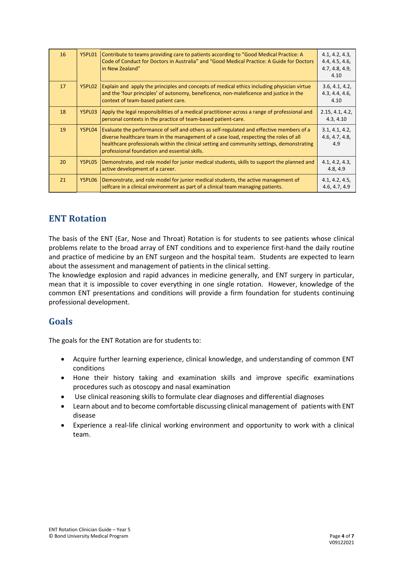| 16 | <b>Y5PL01</b> | Contribute to teams providing care to patients according to "Good Medical Practice: A<br>Code of Conduct for Doctors in Australia" and "Good Medical Practice: A Guide for Doctors<br>in New Zealand"                                                                                                                            | 4.1, 4.2, 4.3,<br>4.4, 4.5, 4.6,<br>4.7, 4.8, 4.9,<br>4.10 |
|----|---------------|----------------------------------------------------------------------------------------------------------------------------------------------------------------------------------------------------------------------------------------------------------------------------------------------------------------------------------|------------------------------------------------------------|
| 17 | Y5PL02        | Explain and apply the principles and concepts of medical ethics including physician virtue<br>and the 'four principles' of autonomy, beneficence, non-maleficence and justice in the<br>context of team-based patient care.                                                                                                      | 3.6, 4.1, 4.2,<br>4.3, 4.4, 4.6,<br>4.10                   |
| 18 | Y5PL03        | Apply the legal responsibilities of a medical practitioner across a range of professional and<br>personal contexts in the practice of team-based patient-care.                                                                                                                                                                   | 2.15, 4.1, 4.2,<br>4.3, 4.10                               |
| 19 | Y5PL04        | Evaluate the performance of self and others as self-regulated and effective members of a<br>diverse healthcare team in the management of a case load, respecting the roles of all<br>healthcare professionals within the clinical setting and community settings, demonstrating<br>professional foundation and essential skills. | 3.1, 4.1, 4.2,<br>4.6, 4.7, 4.8,<br>4.9                    |
| 20 | Y5PL05        | Demonstrate, and role model for junior medical students, skills to support the planned and<br>active development of a career.                                                                                                                                                                                                    | 4.1, 4.2, 4.3,<br>4.8, 4.9                                 |
| 21 | Y5PL06        | Demonstrate, and role model for junior medical students, the active management of<br>selfcare in a clinical environment as part of a clinical team managing patients.                                                                                                                                                            | 4.1, 4.2, 4.5,<br>4.6, 4.7, 4.9                            |

#### **ENT Rotation**

The basis of the ENT (Ear, Nose and Throat) Rotation is for students to see patients whose clinical problems relate to the broad array of ENT conditions and to experience first-hand the daily routine and practice of medicine by an ENT surgeon and the hospital team. Students are expected to learn about the assessment and management of patients in the clinical setting.

The knowledge explosion and rapid advances in medicine generally, and ENT surgery in particular, mean that it is impossible to cover everything in one single rotation. However, knowledge of the common ENT presentations and conditions will provide a firm foundation for students continuing professional development.

#### **Goals**

The goals for the ENT Rotation are for students to:

- Acquire further learning experience, clinical knowledge, and understanding of common ENT conditions
- Hone their history taking and examination skills and improve specific examinations procedures such as otoscopy and nasal examination
- Use clinical reasoning skills to formulate clear diagnoses and differential diagnoses
- Learn about and to become comfortable discussing clinical management of patients with ENT disease
- Experience a real-life clinical working environment and opportunity to work with a clinical team.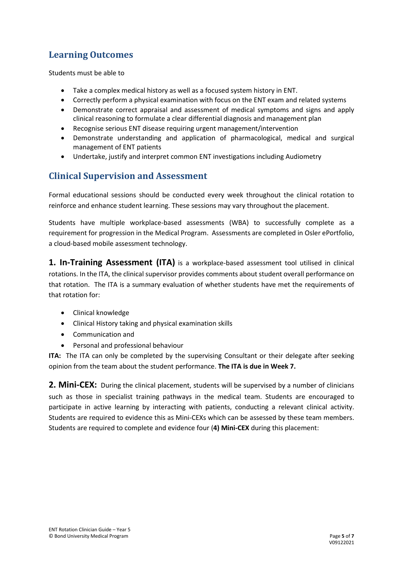#### **Learning Outcomes**

Students must be able to

- Take a complex medical history as well as a focused system history in ENT.
- Correctly perform a physical examination with focus on the ENT exam and related systems
- Demonstrate correct appraisal and assessment of medical symptoms and signs and apply clinical reasoning to formulate a clear differential diagnosis and management plan
- Recognise serious ENT disease requiring urgent management/intervention
- Demonstrate understanding and application of pharmacological, medical and surgical management of ENT patients
- Undertake, justify and interpret common ENT investigations including Audiometry

#### **Clinical Supervision and Assessment**

Formal educational sessions should be conducted every week throughout the clinical rotation to reinforce and enhance student learning. These sessions may vary throughout the placement.

Students have multiple workplace-based assessments (WBA) to successfully complete as a requirement for progression in the Medical Program. Assessments are completed in Osler ePortfolio, a cloud-based mobile assessment technology.

1. In-Training Assessment (ITA) is a workplace-based assessment tool utilised in clinical rotations. In the ITA, the clinical supervisor provides comments about student overall performance on that rotation. The ITA is a summary evaluation of whether students have met the requirements of that rotation for:

- Clinical knowledge
- Clinical History taking and physical examination skills
- Communication and
- Personal and professional behaviour

**ITA:** The ITA can only be completed by the supervising Consultant or their delegate after seeking opinion from the team about the student performance. **The ITA is due in Week 7.**

**2. Mini-CEX:** During the clinical placement, students will be supervised by a number of clinicians such as those in specialist training pathways in the medical team. Students are encouraged to participate in active learning by interacting with patients, conducting a relevant clinical activity. Students are required to evidence this as Mini-CEXs which can be assessed by these team members. Students are required to complete and evidence four (**4) Mini-CEX** during this placement: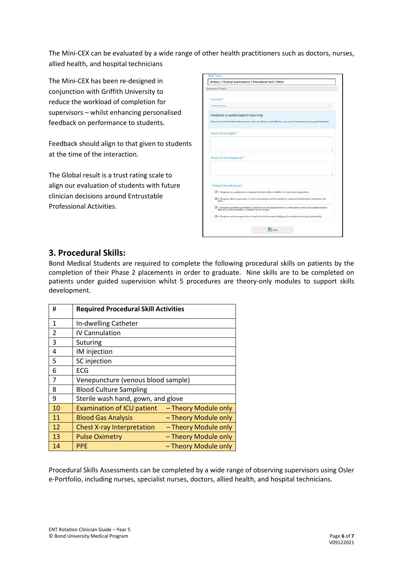The Mini-CEX can be evaluated by a wide range of other health practitioners such as doctors, nurses, allied health, and hospital technicians

The Mini-CEX has been re-designed in conjunction with Griffith University to reduce the workload of completion for supervisors – whilst enhancing personalised feedback on performance to students.

Feedback should align to that given to students at the time of the interaction.

The Global result is a trust rating scale to align our evaluation of students with future clinician decisions around Entrustable Professional Activities.

| Assessment Criteria                    |                                                                                                                                                                         |  |  |  |
|----------------------------------------|-------------------------------------------------------------------------------------------------------------------------------------------------------------------------|--|--|--|
| Location*                              |                                                                                                                                                                         |  |  |  |
| Select Location                        |                                                                                                                                                                         |  |  |  |
| Feedback to assist student's learning: |                                                                                                                                                                         |  |  |  |
|                                        | Please describe the Student's Performance: what was effective and ineffective, your overall impression and any specific feedback.                                       |  |  |  |
| Areas of strength:*                    |                                                                                                                                                                         |  |  |  |
|                                        |                                                                                                                                                                         |  |  |  |
|                                        |                                                                                                                                                                         |  |  |  |
|                                        |                                                                                                                                                                         |  |  |  |
|                                        |                                                                                                                                                                         |  |  |  |
| Areas of development:*                 |                                                                                                                                                                         |  |  |  |
|                                        |                                                                                                                                                                         |  |  |  |
|                                        |                                                                                                                                                                         |  |  |  |
| Global Overall result:*                |                                                                                                                                                                         |  |  |  |
|                                        | O 1. Requires my assistance to complete this task safely in addition to close direct supervision                                                                        |  |  |  |
| task)                                  | O 2. Requires direct supervision (I need to be present with the student to observe the interaction and review the                                                       |  |  |  |
|                                        | O 3. Requires proximal supervision (I need to be in an adjacent room or on the same ward as the student and be<br>able to provide immediate or detailed review of task) |  |  |  |
|                                        |                                                                                                                                                                         |  |  |  |

#### **3. Procedural Skills:**

Bond Medical Students are required to complete the following procedural skills on patients by the completion of their Phase 2 placements in order to graduate. Nine skills are to be completed on patients under guided supervision whilst 5 procedures are theory-only modules to support skills development.

| #              | <b>Required Procedural Skill Activities</b> |                      |  |
|----------------|---------------------------------------------|----------------------|--|
| $\mathbf{1}$   | In-dwelling Catheter                        |                      |  |
| $\overline{2}$ | <b>IV Cannulation</b>                       |                      |  |
| 3              | Suturing                                    |                      |  |
| 4              | IM injection                                |                      |  |
| 5              | SC injection                                |                      |  |
| 6              | ECG                                         |                      |  |
| 7              | Venepuncture (venous blood sample)          |                      |  |
| 8              | <b>Blood Culture Sampling</b>               |                      |  |
| 9              | Sterile wash hand, gown, and glove          |                      |  |
| 10             | <b>Examination of ICU patient</b>           | - Theory Module only |  |
| 11             | <b>Blood Gas Analysis</b>                   | - Theory Module only |  |
| 12             | <b>Chest X-ray Interpretation</b>           | - Theory Module only |  |
| 13             | <b>Pulse Oximetry</b>                       | - Theory Module only |  |
| 14             | <b>PPE</b>                                  | - Theory Module only |  |

Procedural Skills Assessments can be completed by a wide range of observing supervisors using Osler e-Portfolio, including nurses, specialist nurses, doctors, allied health, and hospital technicians.